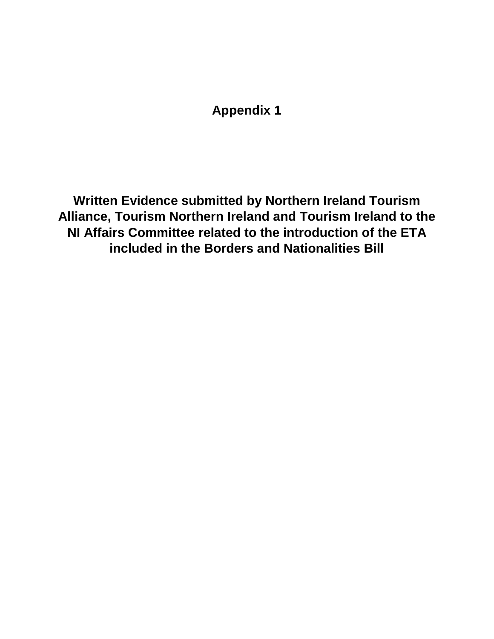**Appendix 1**

**Written Evidence submitted by Northern Ireland Tourism Alliance, Tourism Northern Ireland and Tourism Ireland to the NI Affairs Committee related to the introduction of the ETA included in the Borders and Nationalities Bill**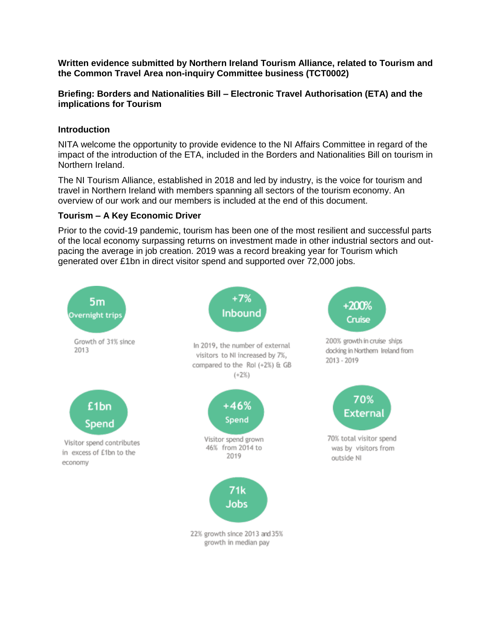**Written evidence submitted by Northern Ireland Tourism Alliance, related to Tourism and the Common Travel Area non-inquiry Committee business (TCT0002)**

### **Briefing: Borders and Nationalities Bill – Electronic Travel Authorisation (ETA) and the implications for Tourism**

# **Introduction**

NITA welcome the opportunity to provide evidence to the NI Affairs Committee in regard of the impact of the introduction of the ETA, included in the Borders and Nationalities Bill on tourism in Northern Ireland.

The NI Tourism Alliance, established in 2018 and led by industry, is the voice for tourism and travel in Northern Ireland with members spanning all sectors of the tourism economy. An overview of our work and our members is included at the end of this document.

# **Tourism – A Key Economic Driver**

Prior to the covid-19 pandemic, tourism has been one of the most resilient and successful parts of the local economy surpassing returns on investment made in other industrial sectors and outpacing the average in job creation. 2019 was a record breaking year for Tourism which generated over £1bn in direct visitor spend and supported over 72,000 jobs.

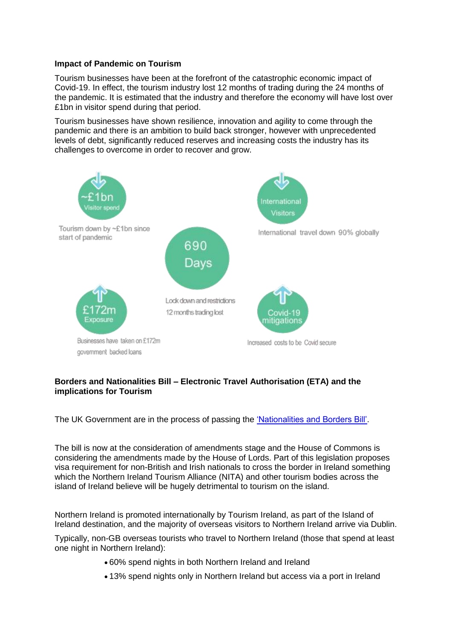#### **Impact of Pandemic on Tourism**

Tourism businesses have been at the forefront of the catastrophic economic impact of Covid-19. In effect, the tourism industry lost 12 months of trading during the 24 months of the pandemic. It is estimated that the industry and therefore the economy will have lost over £1bn in visitor spend during that period.

Tourism businesses have shown resilience, innovation and agility to come through the pandemic and there is an ambition to build back stronger, however with unprecedented levels of debt, significantly reduced reserves and increasing costs the industry has its challenges to overcome in order to recover and grow.



# **Borders and Nationalities Bill – Electronic Travel Authorisation (ETA) and the implications for Tourism**

The UK Government are in the process of passing the ['Nationalities and Borders Bill'.](https://bills.parliament.uk/bills/3023)

The bill is now at the consideration of amendments stage and the House of Commons is considering the amendments made by the House of Lords. Part of this legislation proposes visa requirement for non-British and Irish nationals to cross the border in Ireland something which the Northern Ireland Tourism Alliance (NITA) and other tourism bodies across the island of Ireland believe will be hugely detrimental to tourism on the island.

Northern Ireland is promoted internationally by Tourism Ireland, as part of the Island of Ireland destination, and the majority of overseas visitors to Northern Ireland arrive via Dublin.

Typically, non-GB overseas tourists who travel to Northern Ireland (those that spend at least one night in Northern Ireland):

- 60% spend nights in both Northern Ireland and Ireland
- 13% spend nights only in Northern Ireland but access via a port in Ireland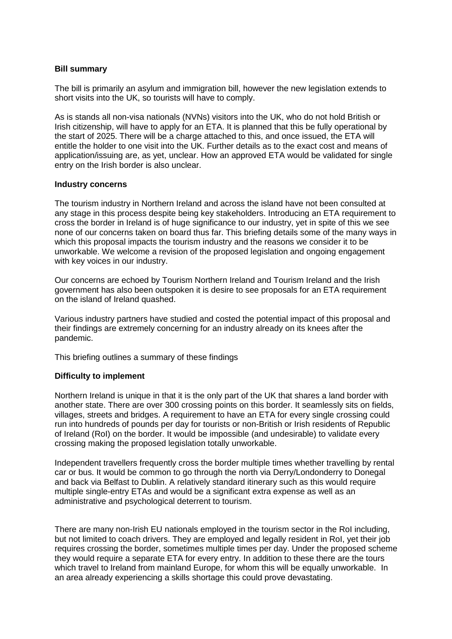#### **Bill summary**

The bill is primarily an asylum and immigration bill, however the new legislation extends to short visits into the UK, so tourists will have to comply.

As is stands all non-visa nationals (NVNs) visitors into the UK, who do not hold British or Irish citizenship, will have to apply for an ETA. It is planned that this be fully operational by the start of 2025. There will be a charge attached to this, and once issued, the ETA will entitle the holder to one visit into the UK. Further details as to the exact cost and means of application/issuing are, as yet, unclear. How an approved ETA would be validated for single entry on the Irish border is also unclear.

#### **Industry concerns**

The tourism industry in Northern Ireland and across the island have not been consulted at any stage in this process despite being key stakeholders. Introducing an ETA requirement to cross the border in Ireland is of huge significance to our industry, yet in spite of this we see none of our concerns taken on board thus far. This briefing details some of the many ways in which this proposal impacts the tourism industry and the reasons we consider it to be unworkable. We welcome a revision of the proposed legislation and ongoing engagement with key voices in our industry.

Our concerns are echoed by Tourism Northern Ireland and Tourism Ireland and the Irish government has also been outspoken it is desire to see proposals for an ETA requirement on the island of Ireland quashed.

Various industry partners have studied and costed the potential impact of this proposal and their findings are extremely concerning for an industry already on its knees after the pandemic.

This briefing outlines a summary of these findings

### **Difficulty to implement**

Northern Ireland is unique in that it is the only part of the UK that shares a land border with another state. There are over 300 crossing points on this border. It seamlessly sits on fields, villages, streets and bridges. A requirement to have an ETA for every single crossing could run into hundreds of pounds per day for tourists or non-British or Irish residents of Republic of Ireland (RoI) on the border. It would be impossible (and undesirable) to validate every crossing making the proposed legislation totally unworkable.

Independent travellers frequently cross the border multiple times whether travelling by rental car or bus. It would be common to go through the north via Derry/Londonderry to Donegal and back via Belfast to Dublin. A relatively standard itinerary such as this would require multiple single-entry ETAs and would be a significant extra expense as well as an administrative and psychological deterrent to tourism.

There are many non-Irish EU nationals employed in the tourism sector in the RoI including, but not limited to coach drivers. They are employed and legally resident in RoI, yet their job requires crossing the border, sometimes multiple times per day. Under the proposed scheme they would require a separate ETA for every entry. In addition to these there are the tours which travel to Ireland from mainland Europe, for whom this will be equally unworkable. In an area already experiencing a skills shortage this could prove devastating.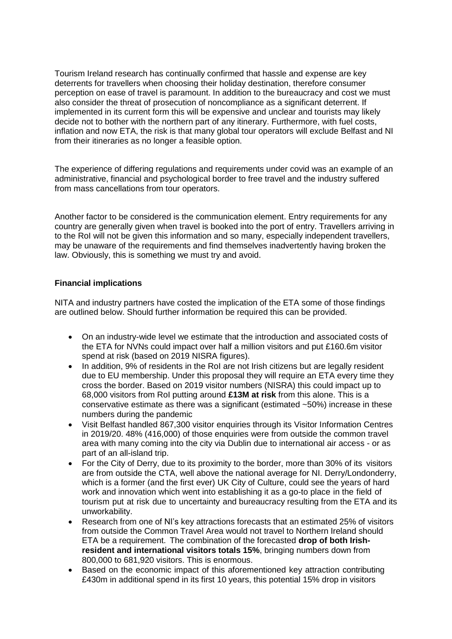Tourism Ireland research has continually confirmed that hassle and expense are key deterrents for travellers when choosing their holiday destination, therefore consumer perception on ease of travel is paramount. In addition to the bureaucracy and cost we must also consider the threat of prosecution of noncompliance as a significant deterrent. If implemented in its current form this will be expensive and unclear and tourists may likely decide not to bother with the northern part of any itinerary. Furthermore, with fuel costs, inflation and now ETA, the risk is that many global tour operators will exclude Belfast and NI from their itineraries as no longer a feasible option.

The experience of differing regulations and requirements under covid was an example of an administrative, financial and psychological border to free travel and the industry suffered from mass cancellations from tour operators.

Another factor to be considered is the communication element. Entry requirements for any country are generally given when travel is booked into the port of entry. Travellers arriving in to the RoI will not be given this information and so many, especially independent travellers, may be unaware of the requirements and find themselves inadvertently having broken the law. Obviously, this is something we must try and avoid.

# **Financial implications**

NITA and industry partners have costed the implication of the ETA some of those findings are outlined below. Should further information be required this can be provided.

- On an industry-wide level we estimate that the introduction and associated costs of the ETA for NVNs could impact over half a million visitors and put £160.6m visitor spend at risk (based on 2019 NISRA figures).
- In addition, 9% of residents in the RoI are not Irish citizens but are legally resident due to EU membership. Under this proposal they will require an ETA every time they cross the border. Based on 2019 visitor numbers (NISRA) this could impact up to 68,000 visitors from RoI putting around **£13M at risk** from this alone. This is a conservative estimate as there was a significant (estimated ~50%) increase in these numbers during the pandemic
- Visit Belfast handled 867,300 visitor enquiries through its Visitor Information Centres in 2019/20. 48% (416,000) of those enquiries were from outside the common travel area with many coming into the city via Dublin due to international air access - or as part of an all-island trip.
- For the City of Derry, due to its proximity to the border, more than 30% of its visitors are from outside the CTA, well above the national average for NI. Derry/Londonderry, which is a former (and the first ever) UK City of Culture, could see the years of hard work and innovation which went into establishing it as a go-to place in the field of tourism put at risk due to uncertainty and bureaucracy resulting from the ETA and its unworkability.
- Research from one of NI's key attractions forecasts that an estimated 25% of visitors from outside the Common Travel Area would not travel to Northern Ireland should ETA be a requirement. The combination of the forecasted **drop of both Irishresident and international visitors totals 15%**, bringing numbers down from 800,000 to 681,920 visitors. This is enormous.
- Based on the economic impact of this aforementioned key attraction contributing £430m in additional spend in its first 10 years, this potential 15% drop in visitors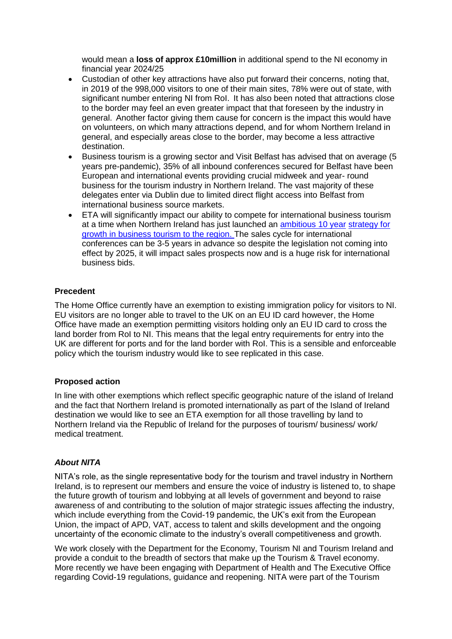would mean a **loss of approx £10million** in additional spend to the NI economy in financial year 2024/25

- Custodian of other key attractions have also put forward their concerns, noting that, in 2019 of the 998,000 visitors to one of their main sites, 78% were out of state, with significant number entering NI from RoI. It has also been noted that attractions close to the border may feel an even greater impact that that foreseen by the industry in general. Another factor giving them cause for concern is the impact this would have on volunteers, on which many attractions depend, and for whom Northern Ireland in general, and especially areas close to the border, may become a less attractive destination.
- Business tourism is a growing sector and Visit Belfast has advised that on average (5 years pre-pandemic), 35% of all inbound conferences secured for Belfast have been European and international events providing crucial midweek and year- round business for the tourism industry in Northern Ireland. The vast majority of these delegates enter via Dublin due to limited direct flight access into Belfast from international business source markets.
- ETA will significantly impact our ability to compete for international business tourism at a time when Northern Ireland has just launched an [ambitious 10 year](https://www.tourismni.com/industry-news/launch-of-new-integrated-strategy-for-business-events/) [strategy for](https://www.tourismni.com/industry-news/launch-of-new-integrated-strategy-for-business-events/)  [growth in business tourism to the region. T](https://www.tourismni.com/industry-news/launch-of-new-integrated-strategy-for-business-events/)he sales cycle for international conferences can be 3-5 years in advance so despite the legislation not coming into effect by 2025, it will impact sales prospects now and is a huge risk for international business bids.

### **Precedent**

The Home Office currently have an exemption to existing immigration policy for visitors to NI. EU visitors are no longer able to travel to the UK on an EU ID card however, the Home Office have made an exemption permitting visitors holding only an EU ID card to cross the land border from RoI to NI. This means that the legal entry requirements for entry into the UK are different for ports and for the land border with RoI. This is a sensible and enforceable policy which the tourism industry would like to see replicated in this case.

### **Proposed action**

In line with other exemptions which reflect specific geographic nature of the island of Ireland and the fact that Northern Ireland is promoted internationally as part of the Island of Ireland destination we would like to see an ETA exemption for all those travelling by land to Northern Ireland via the Republic of Ireland for the purposes of tourism/ business/ work/ medical treatment.

#### *About NITA*

NITA's role, as the single representative body for the tourism and travel industry in Northern Ireland, is to represent our members and ensure the voice of industry is listened to, to shape the future growth of tourism and lobbying at all levels of government and beyond to raise awareness of and contributing to the solution of major strategic issues affecting the industry, which include everything from the Covid-19 pandemic, the UK's exit from the European Union, the impact of APD, VAT, access to talent and skills development and the ongoing uncertainty of the economic climate to the industry's overall competitiveness and growth.

We work closely with the Department for the Economy, Tourism NI and Tourism Ireland and provide a conduit to the breadth of sectors that make up the Tourism & Travel economy. More recently we have been engaging with Department of Health and The Executive Office regarding Covid-19 regulations, guidance and reopening. NITA were part of the Tourism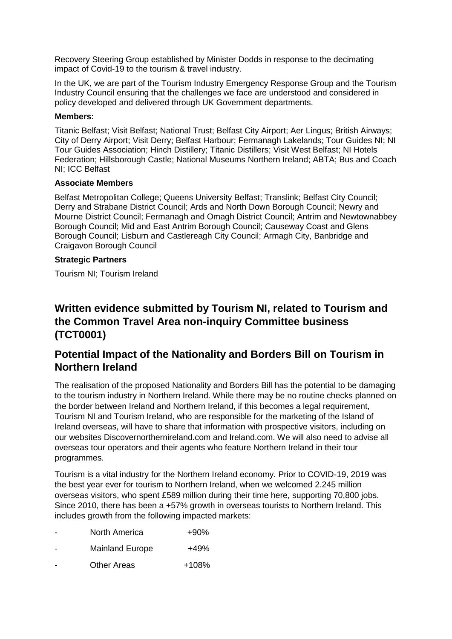Recovery Steering Group established by Minister Dodds in response to the decimating impact of Covid-19 to the tourism & travel industry.

In the UK, we are part of the Tourism Industry Emergency Response Group and the Tourism Industry Council ensuring that the challenges we face are understood and considered in policy developed and delivered through UK Government departments.

#### **Members:**

Titanic Belfast; Visit Belfast; National Trust; Belfast City Airport; Aer Lingus; British Airways; City of Derry Airport; Visit Derry; Belfast Harbour; Fermanagh Lakelands; Tour Guides NI; NI Tour Guides Association; Hinch Distillery; Titanic Distillers; Visit West Belfast; NI Hotels Federation; Hillsborough Castle; National Museums Northern Ireland; ABTA; Bus and Coach NI; ICC Belfast

#### **Associate Members**

Belfast Metropolitan College; Queens University Belfast; Translink; Belfast City Council; Derry and Strabane District Council; Ards and North Down Borough Council; Newry and Mourne District Council; Fermanagh and Omagh District Council; Antrim and Newtownabbey Borough Council; Mid and East Antrim Borough Council; Causeway Coast and Glens Borough Council; Lisburn and Castlereagh City Council; Armagh City, Banbridge and Craigavon Borough Council

#### **Strategic Partners**

Tourism NI; Tourism Ireland

# **Written evidence submitted by Tourism NI, related to Tourism and the Common Travel Area non-inquiry Committee business (TCT0001)**

# **Potential Impact of the Nationality and Borders Bill on Tourism in Northern Ireland**

The realisation of the proposed Nationality and Borders Bill has the potential to be damaging to the tourism industry in Northern Ireland. While there may be no routine checks planned on the border between Ireland and Northern Ireland, if this becomes a legal requirement, Tourism NI and Tourism Ireland, who are responsible for the marketing of the Island of Ireland overseas, will have to share that information with prospective visitors, including on our websites Discovernorthernireland.com and Ireland.com. We will also need to advise all overseas tour operators and their agents who feature Northern Ireland in their tour programmes.

Tourism is a vital industry for the Northern Ireland economy. Prior to COVID-19, 2019 was the best year ever for tourism to Northern Ireland, when we welcomed 2.245 million overseas visitors, who spent £589 million during their time here, supporting 70,800 jobs. Since 2010, there has been a +57% growth in overseas tourists to Northern Ireland. This includes growth from the following impacted markets:

| $+90%$ |
|--------|
|        |

- Mainland Europe +49%
- Other Areas  $+108\%$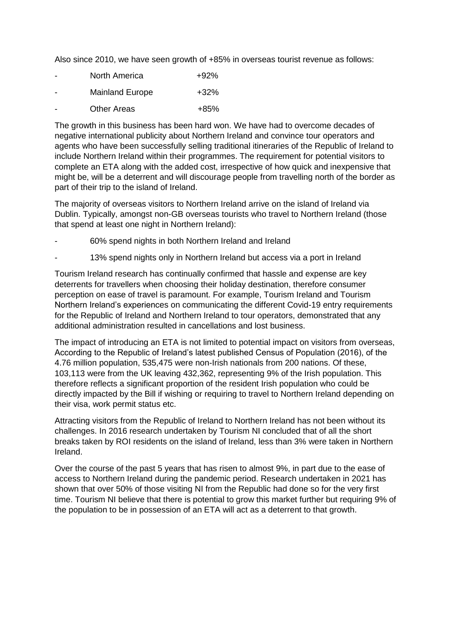Also since 2010, we have seen growth of +85% in overseas tourist revenue as follows:

| $\overline{\phantom{0}}$ | North America          | $+92%$ |
|--------------------------|------------------------|--------|
| $\overline{\phantom{0}}$ | <b>Mainland Europe</b> | +32%   |

Other Areas  $+85%$ 

The growth in this business has been hard won. We have had to overcome decades of negative international publicity about Northern Ireland and convince tour operators and agents who have been successfully selling traditional itineraries of the Republic of Ireland to include Northern Ireland within their programmes. The requirement for potential visitors to complete an ETA along with the added cost, irrespective of how quick and inexpensive that might be, will be a deterrent and will discourage people from travelling north of the border as part of their trip to the island of Ireland.

The majority of overseas visitors to Northern Ireland arrive on the island of Ireland via Dublin. Typically, amongst non-GB overseas tourists who travel to Northern Ireland (those that spend at least one night in Northern Ireland):

- 60% spend nights in both Northern Ireland and Ireland
- 13% spend nights only in Northern Ireland but access via a port in Ireland

Tourism Ireland research has continually confirmed that hassle and expense are key deterrents for travellers when choosing their holiday destination, therefore consumer perception on ease of travel is paramount. For example, Tourism Ireland and Tourism Northern Ireland's experiences on communicating the different Covid-19 entry requirements for the Republic of Ireland and Northern Ireland to tour operators, demonstrated that any additional administration resulted in cancellations and lost business.

The impact of introducing an ETA is not limited to potential impact on visitors from overseas, According to the Republic of Ireland's latest published Census of Population (2016), of the 4.76 million population, 535,475 were non-Irish nationals from 200 nations. Of these, 103,113 were from the UK leaving 432,362, representing 9% of the Irish population. This therefore reflects a significant proportion of the resident Irish population who could be directly impacted by the Bill if wishing or requiring to travel to Northern Ireland depending on their visa, work permit status etc.

Attracting visitors from the Republic of Ireland to Northern Ireland has not been without its challenges. In 2016 research undertaken by Tourism NI concluded that of all the short breaks taken by ROI residents on the island of Ireland, less than 3% were taken in Northern Ireland.

Over the course of the past 5 years that has risen to almost 9%, in part due to the ease of access to Northern Ireland during the pandemic period. Research undertaken in 2021 has shown that over 50% of those visiting NI from the Republic had done so for the very first time. Tourism NI believe that there is potential to grow this market further but requiring 9% of the population to be in possession of an ETA will act as a deterrent to that growth.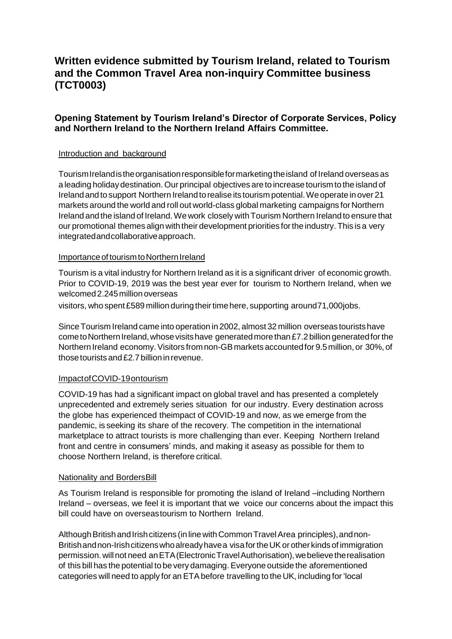# **Written evidence submitted by Tourism Ireland, related to Tourism and the Common Travel Area non-inquiry Committee business (TCT0003)**

# **Opening Statement by Tourism Ireland's Director of Corporate Services, Policy and Northern Ireland to the Northern Ireland Affairs Committee.**

### Introduction and background

TourismIrelandistheorganisationresponsibleformarketingtheisland of Ireland overseas as a leading holiday destination. Our principal objectives are to increase tourism to the island of Irelandand to support Northern Ireland torealise its tourism potential.Weoperate in over 21 markets around the world and roll out world-class global marketing campaigns for Northern Ireland and the island of Ireland. We work closely with Tourism Northern Ireland to ensure that our promotional themes align with their development priorities fortheindustry. This is a very integratedandcollaborativeapproach.

#### Importance of tourism to Northern Ireland

Tourism is a vital industry for Northern Ireland as it is a significant driver of economic growth. Prior to COVID-19, 2019 was the best year ever for tourism to Northern Ireland, when we welcomed2.245million overseas

visitors, who spent £589 million during their time here, supporting around71,000jobs.

Since Tourism Ireland came into operation in 2002, almost 32 million overseastouristshave come to Northern Ireland, whose visits have generated more than £7.2 billion generated for the Northern Ireland economy.Visitors fromnon-GBmarkets accountedfor 9.5million, or 30%, of those tourists and  $£2.7$  billion in revenue.

#### ImpactofCOVID-19ontourism

COVID-19 has had a significant impact on global travel and has presented a completely unprecedented and extremely series situation for our industry. Every destination across the globe has experienced theimpact of COVID-19 and now, as we emerge from the pandemic, is seeking its share of the recovery. The competition in the international marketplace to attract tourists is more challenging than ever. Keeping Northern Ireland front and centre in consumers' minds, and making it aseasy as possible for them to choose Northern Ireland, is therefore critical.

#### Nationality and BordersBill

As Tourism Ireland is responsible for promoting the island of Ireland –including Northern Ireland – overseas, we feel it is important that we voice our concerns about the impact this bill could have on overseastourism to Northern Ireland.

Although British and Irish citizens (in line with Common Travel Area principles), and non-British and non-Irish citizens who already have a visa for the UK or other kinds of immigration permission.willnot need anETA(ElectronicTravelAuthorisation),webelievetherealisation of this bill has the potential to be very damaging.Everyone outside the aforementioned categories will need to apply for an ETAbefore travelling to the UK, including for'local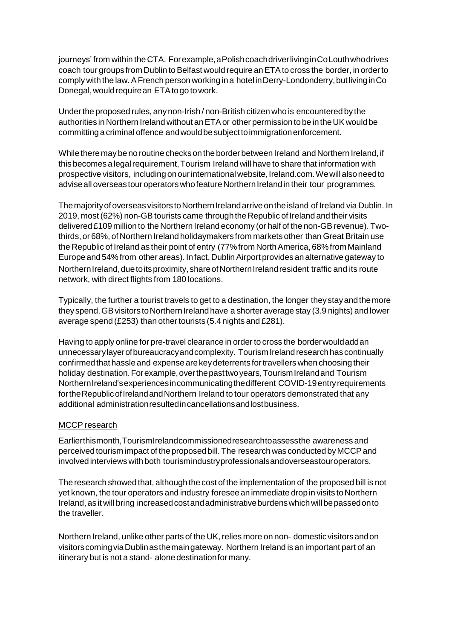journeys' from within theCTA. Forexample,aPolishcoachdriverlivinginCoLouthwhodrives coach tour groups from Dublin to Belfast would require an ETA to cross the border, in order to complywith the law.AFrench person working in a hotel inDerry-Londonderry,butlivinginCo Donegal,wouldrequirean ETAtogo towork.

Underthe proposed rules, any non-Irish / non-British citizen who is encountered by the authorities in Northern Ireland without an ETA or other permission to be in the UK would be committing a criminal offence andwouldbesubjecttoimmigrationenforcement.

While there may be no routine checks on the border between Ireland and Northern Ireland, if this becomes a legal requirement, Tourism Ireland will have to share that information with prospective visitors, including onourinternationalwebsite,Ireland.com.Wewillalsoneedto advise all overseas tour operators who feature Northern Ireland in their tour programmes.

The majority of overseas visitors to Northern Ireland arrive on the island of Ireland via Dublin. In 2019, most (62%) non-GB tourists came through the Republic of Ireland and their visits delivered£109 million to the Northern Ireland economy (or half of the non-GBrevenue). Twothirds, or 68%, of Northern Ireland holidaymakers from markets other than Great Britain use the Republic of Ireland as their point of entry (77% from North America, 68% from Mainland Europeand 54%from other areas). Infact, DublinAirport provides an alternative gateway to Northern Ireland, due to its proximity, share of Northern Ireland resident traffic and its route network, with direct flights from 180 locations.

Typically, the further a tourist travels to get to a destination, the longer theystayandthemore they spend. GB visitors to Northern Ireland have a shorter average stay (3.9 nights) and lower average spend (£253) than other tourists (5.4 nights and £281).

Having to apply online for pre-travel clearance in order to cross the borderwouldaddan unnecessarylayerofbureaucracyandcomplexity. TourismIrelandresearchhas continually confirmed that hassle and expense are key deterrents for travellers when choosing their holiday destination. For example, over the past two years, Tourism Ireland and Tourism NorthernIreland'sexperiencesincommunicatingthedifferent COVID-19entryrequirements fortheRepublicofIrelandandNorthern Ireland to tour operators demonstrated that any additional administrationresultedincancellationsandlostbusiness.

### MCCP research

Earlierthismonth,TourismIrelandcommissionedresearchtoassessthe awareness and perceived tourism impactof theproposedbill. The researchwas conducted byMCCPand involved interviews with both tourismindustryprofessionalsandoverseastouroperators.

The research showed that, although the cost of the implementation of the proposed bill is not yet known, the tour operators and industry foresee an immediate drop in visits to Northern Ireland, as it will bring increasedcostandadministrativeburdenswhichwillbepassedonto the traveller.

Northern Ireland, unlike other parts of the UK, relies more on non- domestic visitors and on visitorscomingviaDublinasthemaingateway. Northern Ireland is an important part of an itinerary but is not a stand- alonedestinationformany.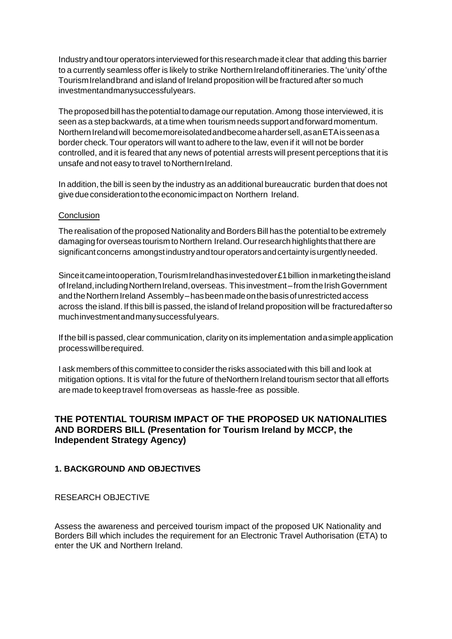Industryandtour operators interviewed forthis researchmade it clear that adding this barrier to a currently seamless offer is likely to strike Northern Ireland off itineraries. The 'unity' of the TourismIrelandbrand and island of Ireland proposition will be fractured after so much investmentandmanysuccessfulyears.

The proposed bill has the potential to damage our reputation. Among those interviewed, it is seen as a step backwards, at a time when tourism needs support and forward momentum. Northern Ireland will become more isolated and become a harder sell, as an ETA is seen as a border check. Tour operators will want to adhere to the law, even if it will not be border controlled, and it is feared that any news of potential arrests will present perceptions that it is unsafe and not easy to travel to Northern Ireland.

In addition, the bill is seen by the industry as an additional bureaucratic burden that does not give due consideration to the economic impact on Northern Ireland.

#### **Conclusion**

The realisation of the proposed Nationality and Borders Bill has the potential to be extremely damaging for overseas tourism to Northern Ireland. Our research highlights that there are significant concerns amongst industry and tour operators and certainty is urgently needed.

Since it came into operation, Tourism Ireland has invested over £1 billion in marketing the island of Ireland, including Northern Ireland, overseas. This investment – from the Irish Government and the Northern Ireland Assembly–has been made on the basis of unrestricted access across the island. If this bill is passed, the island of Ireland proposition will be fracturedafterso muchinvestmentandmanysuccessfulyears.

If thebill is passed, clear communication, clarity on its implementation andasimpleapplication processwillberequired.

I ask members of this committeeto considertherisks associated with this bill and look at mitigation options. It is vital for the future of theNorthern Ireland tourism sector that all efforts are made to keep travel from overseas as hassle-free as possible.

# **THE POTENTIAL TOURISM IMPACT OF THE PROPOSED UK NATIONALITIES AND BORDERS BILL (Presentation for Tourism Ireland by MCCP, the Independent Strategy Agency)**

### **1. BACKGROUND AND OBJECTIVES**

### RESEARCH OBJECTIVE

Assess the awareness and perceived tourism impact of the proposed UK Nationality and Borders Bill which includes the requirement for an Electronic Travel Authorisation (ETA) to enter the UK and Northern Ireland.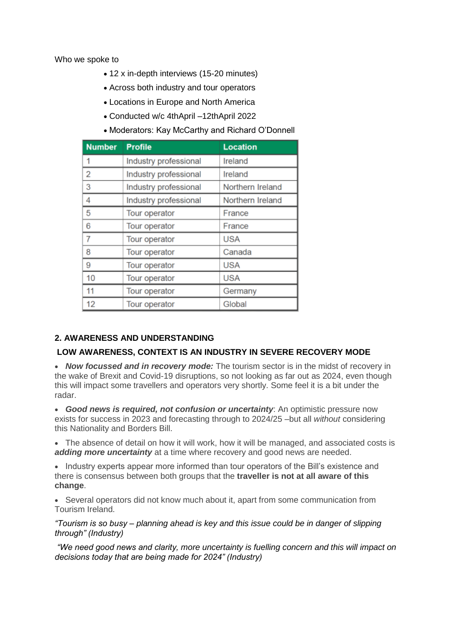Who we spoke to

- 12 x in-depth interviews (15-20 minutes)
- Across both industry and tour operators
- Locations in Europe and North America
- Conducted w/c 4thApril –12thApril 2022
- Moderators: Kay McCarthy and Richard O'Donnell

| <b>Number</b> | <b>Profile</b>        | <b>Location</b>  |
|---------------|-----------------------|------------------|
| 1             | Industry professional | Ireland          |
| 2             | Industry professional | Ireland          |
| 3             | Industry professional | Northern Ireland |
| 4             | Industry professional | Northern Ireland |
| 5             | Tour operator         | France           |
| 6             | Tour operator         | France           |
| 7             | Tour operator         | <b>USA</b>       |
| 8             | Tour operator         | Canada           |
| 9             | Tour operator         | <b>USA</b>       |
| 10            | Tour operator         | <b>USA</b>       |
| 11            | Tour operator         | Germany          |
| 12            | Tour operator         | Global           |

# **2. AWARENESS AND UNDERSTANDING**

# **LOW AWARENESS, CONTEXT IS AN INDUSTRY IN SEVERE RECOVERY MODE**

 *Now focussed and in recovery mode:* The tourism sector is in the midst of recovery in the wake of Brexit and Covid-19 disruptions, so not looking as far out as 2024, even though this will impact some travellers and operators very shortly. Some feel it is a bit under the radar.

 *Good news is required, not confusion or uncertainty*: An optimistic pressure now exists for success in 2023 and forecasting through to 2024/25 –but all *without* considering this Nationality and Borders Bill.

• The absence of detail on how it will work, how it will be managed, and associated costs is *adding more uncertainty* at a time where recovery and good news are needed.

• Industry experts appear more informed than tour operators of the Bill's existence and there is consensus between both groups that the **traveller is not at all aware of this change**.

• Several operators did not know much about it, apart from some communication from Tourism Ireland.

*"Tourism is so busy – planning ahead is key and this issue could be in danger of slipping through" (Industry)*

*"We need good news and clarity, more uncertainty is fuelling concern and this will impact on decisions today that are being made for 2024" (Industry)*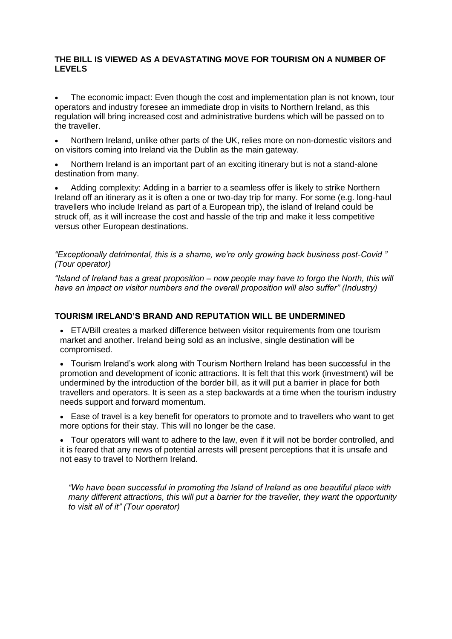### **THE BILL IS VIEWED AS A DEVASTATING MOVE FOR TOURISM ON A NUMBER OF LEVELS**

 The economic impact: Even though the cost and implementation plan is not known, tour operators and industry foresee an immediate drop in visits to Northern Ireland, as this regulation will bring increased cost and administrative burdens which will be passed on to the traveller.

 Northern Ireland, unlike other parts of the UK, relies more on non-domestic visitors and on visitors coming into Ireland via the Dublin as the main gateway.

 Northern Ireland is an important part of an exciting itinerary but is not a stand-alone destination from many.

 Adding complexity: Adding in a barrier to a seamless offer is likely to strike Northern Ireland off an itinerary as it is often a one or two-day trip for many. For some (e.g. long-haul travellers who include Ireland as part of a European trip), the island of Ireland could be struck off, as it will increase the cost and hassle of the trip and make it less competitive versus other European destinations.

*"Exceptionally detrimental, this is a shame, we're only growing back business post-Covid " (Tour operator)*

*"Island of Ireland has a great proposition – now people may have to forgo the North, this will have an impact on visitor numbers and the overall proposition will also suffer" (Industry)*

# **TOURISM IRELAND'S BRAND AND REPUTATION WILL BE UNDERMINED**

 ETA/Bill creates a marked difference between visitor requirements from one tourism market and another. Ireland being sold as an inclusive, single destination will be compromised.

 Tourism Ireland's work along with Tourism Northern Ireland has been successful in the promotion and development of iconic attractions. It is felt that this work (investment) will be undermined by the introduction of the border bill, as it will put a barrier in place for both travellers and operators. It is seen as a step backwards at a time when the tourism industry needs support and forward momentum.

 Ease of travel is a key benefit for operators to promote and to travellers who want to get more options for their stay. This will no longer be the case.

 Tour operators will want to adhere to the law, even if it will not be border controlled, and it is feared that any news of potential arrests will present perceptions that it is unsafe and not easy to travel to Northern Ireland.

*"We have been successful in promoting the Island of Ireland as one beautiful place with many different attractions, this will put a barrier for the traveller, they want the opportunity to visit all of it" (Tour operator)*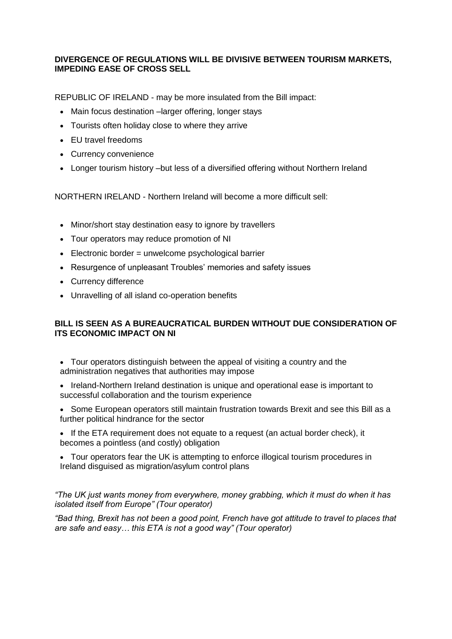# **DIVERGENCE OF REGULATIONS WILL BE DIVISIVE BETWEEN TOURISM MARKETS, IMPEDING EASE OF CROSS SELL**

REPUBLIC OF IRELAND - may be more insulated from the Bill impact:

- Main focus destination –larger offering, longer stays
- Tourists often holiday close to where they arrive
- FU travel freedoms
- Currency convenience
- Longer tourism history –but less of a diversified offering without Northern Ireland

NORTHERN IRELAND - Northern Ireland will become a more difficult sell:

- Minor/short stay destination easy to ignore by travellers
- Tour operators may reduce promotion of NI
- $\bullet$  Electronic border = unwelcome psychological barrier
- Resurgence of unpleasant Troubles' memories and safety issues
- Currency difference
- Unravelling of all island co-operation benefits

# **BILL IS SEEN AS A BUREAUCRATICAL BURDEN WITHOUT DUE CONSIDERATION OF ITS ECONOMIC IMPACT ON NI**

- Tour operators distinguish between the appeal of visiting a country and the administration negatives that authorities may impose
- Ireland-Northern Ireland destination is unique and operational ease is important to successful collaboration and the tourism experience
- Some European operators still maintain frustration towards Brexit and see this Bill as a further political hindrance for the sector
- If the ETA requirement does not equate to a request (an actual border check), it becomes a pointless (and costly) obligation
- Tour operators fear the UK is attempting to enforce illogical tourism procedures in Ireland disguised as migration/asylum control plans

### *"The UK just wants money from everywhere, money grabbing, which it must do when it has isolated itself from Europe" (Tour operator)*

*"Bad thing, Brexit has not been a good point, French have got attitude to travel to places that are safe and easy… this ETA is not a good way" (Tour operator)*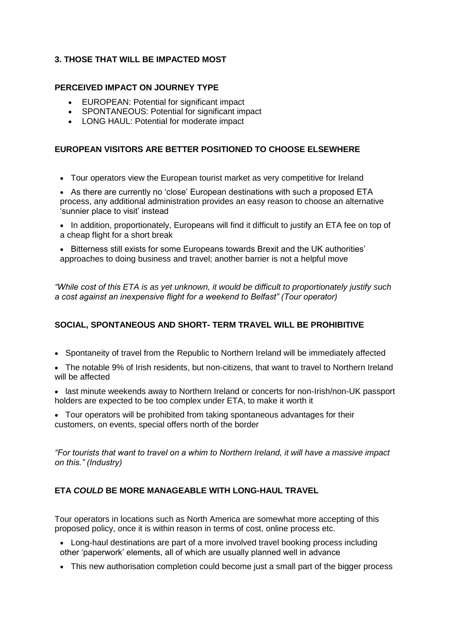# **3. THOSE THAT WILL BE IMPACTED MOST**

# **PERCEIVED IMPACT ON JOURNEY TYPE**

- EUROPEAN: Potential for significant impact
- SPONTANEOUS: Potential for significant impact
- LONG HAUL: Potential for moderate impact

# **EUROPEAN VISITORS ARE BETTER POSITIONED TO CHOOSE ELSEWHERE**

Tour operators view the European tourist market as very competitive for Ireland

• As there are currently no 'close' European destinations with such a proposed ETA process, any additional administration provides an easy reason to choose an alternative 'sunnier place to visit' instead

• In addition, proportionately, Europeans will find it difficult to justify an ETA fee on top of a cheap flight for a short break

**Bitterness still exists for some Europeans towards Brexit and the UK authorities'** approaches to doing business and travel; another barrier is not a helpful move

*"While cost of this ETA is as yet unknown, it would be difficult to proportionately justify such a cost against an inexpensive flight for a weekend to Belfast" (Tour operator)*

# **SOCIAL, SPONTANEOUS AND SHORT- TERM TRAVEL WILL BE PROHIBITIVE**

- Spontaneity of travel from the Republic to Northern Ireland will be immediately affected
- The notable 9% of Irish residents, but non-citizens, that want to travel to Northern Ireland will be affected
- last minute weekends away to Northern Ireland or concerts for non-Irish/non-UK passport holders are expected to be too complex under ETA, to make it worth it
- Tour operators will be prohibited from taking spontaneous advantages for their customers, on events, special offers north of the border

*"For tourists that want to travel on a whim to Northern Ireland, it will have a massive impact on this." (Industry)*

# **ETA** *COULD* **BE MORE MANAGEABLE WITH LONG-HAUL TRAVEL**

Tour operators in locations such as North America are somewhat more accepting of this proposed policy, once it is within reason in terms of cost, online process etc.

- Long-haul destinations are part of a more involved travel booking process including other 'paperwork' elements, all of which are usually planned well in advance
- This new authorisation completion could become just a small part of the bigger process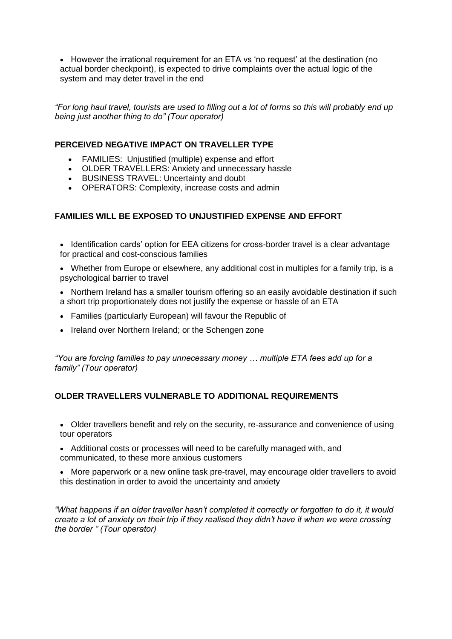• However the irrational requirement for an ETA vs 'no request' at the destination (no actual border checkpoint), is expected to drive complaints over the actual logic of the system and may deter travel in the end

*"For long haul travel, tourists are used to filling out a lot of forms so this will probably end up being just another thing to do" (Tour operator)*

### **PERCEIVED NEGATIVE IMPACT ON TRAVELLER TYPE**

- FAMILIES: Unjustified (multiple) expense and effort
- OLDER TRAVELLERS: Anxiety and unnecessary hassle
- BUSINESS TRAVEL: Uncertainty and doubt
- OPERATORS: Complexity, increase costs and admin

# **FAMILIES WILL BE EXPOSED TO UNJUSTIFIED EXPENSE AND EFFORT**

• Identification cards' option for EEA citizens for cross-border travel is a clear advantage for practical and cost-conscious families

- Whether from Europe or elsewhere, any additional cost in multiples for a family trip, is a psychological barrier to travel
- Northern Ireland has a smaller tourism offering so an easily avoidable destination if such a short trip proportionately does not justify the expense or hassle of an ETA
- Families (particularly European) will favour the Republic of
- Ireland over Northern Ireland; or the Schengen zone

*"You are forcing families to pay unnecessary money … multiple ETA fees add up for a family" (Tour operator)*

# **OLDER TRAVELLERS VULNERABLE TO ADDITIONAL REQUIREMENTS**

- Older travellers benefit and rely on the security, re-assurance and convenience of using tour operators
- Additional costs or processes will need to be carefully managed with, and communicated, to these more anxious customers
- More paperwork or a new online task pre-travel, may encourage older travellers to avoid this destination in order to avoid the uncertainty and anxiety

*"What happens if an older traveller hasn't completed it correctly or forgotten to do it, it would create a lot of anxiety on their trip if they realised they didn't have it when we were crossing the border " (Tour operator)*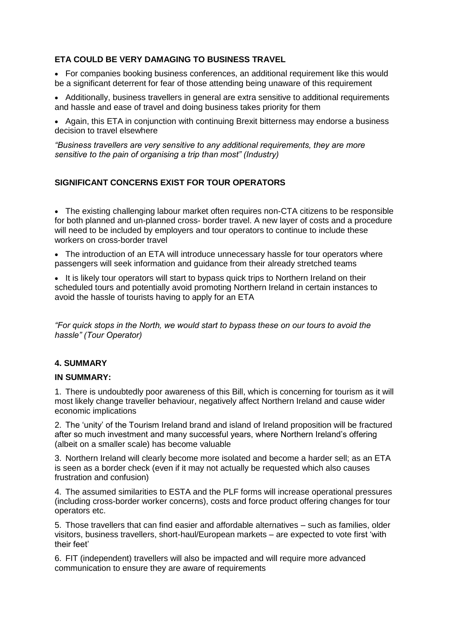# **ETA COULD BE VERY DAMAGING TO BUSINESS TRAVEL**

• For companies booking business conferences, an additional requirement like this would be a significant deterrent for fear of those attending being unaware of this requirement

• Additionally, business travellers in general are extra sensitive to additional requirements and hassle and ease of travel and doing business takes priority for them

• Again, this ETA in conjunction with continuing Brexit bitterness may endorse a business decision to travel elsewhere

*"Business travellers are very sensitive to any additional requirements, they are more sensitive to the pain of organising a trip than most" (Industry)*

# **SIGNIFICANT CONCERNS EXIST FOR TOUR OPERATORS**

• The existing challenging labour market often requires non-CTA citizens to be responsible for both planned and un-planned cross- border travel. A new layer of costs and a procedure will need to be included by employers and tour operators to continue to include these workers on cross-border travel

• The introduction of an ETA will introduce unnecessary hassle for tour operators where passengers will seek information and guidance from their already stretched teams

• It is likely tour operators will start to bypass quick trips to Northern Ireland on their scheduled tours and potentially avoid promoting Northern Ireland in certain instances to avoid the hassle of tourists having to apply for an ETA

*"For quick stops in the North, we would start to bypass these on our tours to avoid the hassle" (Tour Operator)*

# **4. SUMMARY**

### **IN SUMMARY:**

1. There is undoubtedly poor awareness of this Bill, which is concerning for tourism as it will most likely change traveller behaviour, negatively affect Northern Ireland and cause wider economic implications

2. The 'unity' of the Tourism Ireland brand and island of Ireland proposition will be fractured after so much investment and many successful years, where Northern Ireland's offering (albeit on a smaller scale) has become valuable

3. Northern Ireland will clearly become more isolated and become a harder sell; as an ETA is seen as a border check (even if it may not actually be requested which also causes frustration and confusion)

4. The assumed similarities to ESTA and the PLF forms will increase operational pressures (including cross-border worker concerns), costs and force product offering changes for tour operators etc.

5. Those travellers that can find easier and affordable alternatives – such as families, older visitors, business travellers, short-haul/European markets – are expected to vote first 'with their feet'

6. FIT (independent) travellers will also be impacted and will require more advanced communication to ensure they are aware of requirements